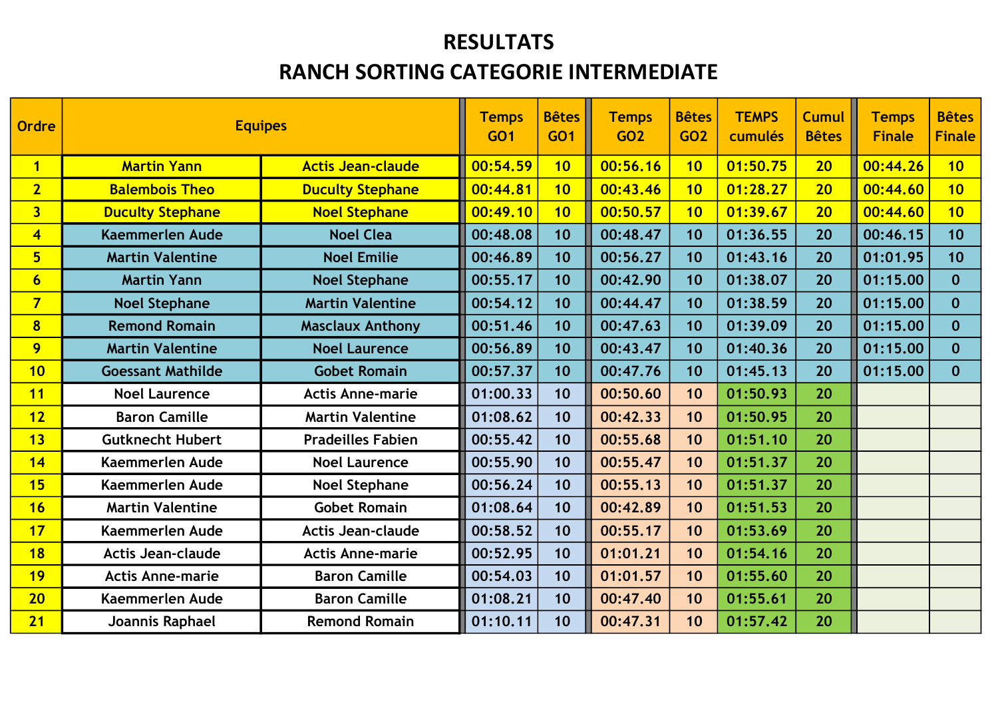#### RESULTATS

#### RANCH SORTING CATEGORIE INTERMEDIATE

| Ordre                   | <b>Equipes</b>           |                          | <b>Temps</b><br><b>GO1</b> | <b>Bêtes</b><br><b>GO1</b> | <b>Temps</b><br><b>GO2</b> | <b>Bêtes</b><br>GO <sub>2</sub> | <b>TEMPS</b><br>cumulés | <b>Cumul</b><br><b>Bêtes</b> | <b>Temps</b><br><b>Finale</b> | <b>Bêtes</b><br><b>Finale</b> |
|-------------------------|--------------------------|--------------------------|----------------------------|----------------------------|----------------------------|---------------------------------|-------------------------|------------------------------|-------------------------------|-------------------------------|
| $\overline{1}$          | <b>Martin Yann</b>       | <b>Actis Jean-claude</b> | 00:54.59                   | 10                         | 00:56.16                   | 10                              | 01:50.75                | 20 <sub>2</sub>              | 00:44.26                      | 10                            |
| $\overline{2}$          | <b>Balembois Theo</b>    | <b>Duculty Stephane</b>  | 00:44.81                   | 10                         | 00:43.46                   | 10                              | 01:28.27                | 20 <sub>2</sub>              | 00:44.60                      | 10                            |
| 3 <sup>1</sup>          | <b>Duculty Stephane</b>  | <b>Noel Stephane</b>     | 00:49.10                   | 10                         | 00:50.57                   | 10                              | 01:39.67                | 20 <sub>2</sub>              | 00:44.60                      | 10                            |
| $\overline{\mathbf{4}}$ | <b>Kaemmerlen Aude</b>   | <b>Noel Clea</b>         | 00:48.08                   | 10                         | 00:48.47                   | 10                              | 01:36.55                | 20                           | 00:46.15                      | 10                            |
| 5 <sub>5</sub>          | <b>Martin Valentine</b>  | <b>Noel Emilie</b>       | 00:46.89                   | 10                         | 00:56.27                   | 10                              | 01:43.16                | 20                           | 01:01.95                      | 10                            |
| $6\overline{6}$         | <b>Martin Yann</b>       | <b>Noel Stephane</b>     | 00:55.17                   | 10                         | 00:42.90                   | 10                              | 01:38.07                | 20                           | 01:15.00                      | $\mathbf{0}$                  |
| $\overline{\mathbf{7}}$ | <b>Noel Stephane</b>     | <b>Martin Valentine</b>  | 00:54.12                   | 10                         | 00:44.47                   | 10                              | 01:38.59                | 20                           | 01:15.00                      | $\mathbf 0$                   |
| $\overline{\mathbf{8}}$ | <b>Remond Romain</b>     | <b>Masclaux Anthony</b>  | 00:51.46                   | 10                         | 00:47.63                   | 10                              | 01:39.09                | 20                           | 01:15.00                      | $\mathbf 0$                   |
| 9                       | <b>Martin Valentine</b>  | <b>Noel Laurence</b>     | 00:56.89                   | 10                         | 00:43.47                   | 10                              | 01:40.36                | 20                           | 01:15.00                      | $\mathbf 0$                   |
| 10                      | <b>Goessant Mathilde</b> | <b>Gobet Romain</b>      | 00:57.37                   | 10                         | 00:47.76                   | 10                              | 01:45.13                | 20                           | 01:15.00                      | $\mathbf 0$                   |
| 11                      | <b>Noel Laurence</b>     | <b>Actis Anne-marie</b>  | 01:00.33                   | 10                         | 00:50.60                   | 10                              | 01:50.93                | 20                           |                               |                               |
| 12                      | <b>Baron Camille</b>     | <b>Martin Valentine</b>  | 01:08.62                   | 10                         | 00:42.33                   | 10                              | 01:50.95                | 20                           |                               |                               |
| 13                      | <b>Gutknecht Hubert</b>  | <b>Pradeilles Fabien</b> | 00:55.42                   | 10                         | 00:55.68                   | 10                              | 01:51.10                | 20                           |                               |                               |
| 14                      | <b>Kaemmerlen Aude</b>   | <b>Noel Laurence</b>     | 00:55.90                   | 10                         | 00:55.47                   | 10                              | 01:51.37                | 20                           |                               |                               |
| 15                      | <b>Kaemmerlen Aude</b>   | <b>Noel Stephane</b>     | 00:56.24                   | 10                         | 00:55.13                   | 10                              | 01:51.37                | 20                           |                               |                               |
| 16                      | <b>Martin Valentine</b>  | <b>Gobet Romain</b>      | 01:08.64                   | 10                         | 00:42.89                   | 10                              | 01:51.53                | 20                           |                               |                               |
| 17                      | Kaemmerlen Aude          | <b>Actis Jean-claude</b> | 00:58.52                   | 10                         | 00:55.17                   | 10                              | 01:53.69                | 20                           |                               |                               |
| 18                      | <b>Actis Jean-claude</b> | <b>Actis Anne-marie</b>  | 00:52.95                   | 10                         | 01:01.21                   | 10                              | 01:54.16                | 20                           |                               |                               |
| 19                      | <b>Actis Anne-marie</b>  | <b>Baron Camille</b>     | 00:54.03                   | 10                         | 01:01.57                   | 10                              | 01:55.60                | 20                           |                               |                               |
| 20 <sub>2</sub>         | <b>Kaemmerlen Aude</b>   | <b>Baron Camille</b>     | 01:08.21                   | 10                         | 00:47.40                   | 10                              | 01:55.61                | 20                           |                               |                               |
| 21                      | Joannis Raphael          | <b>Remond Romain</b>     | 01:10.11                   | 10                         | 00:47.31                   | 10                              | 01:57.42                | 20                           |                               |                               |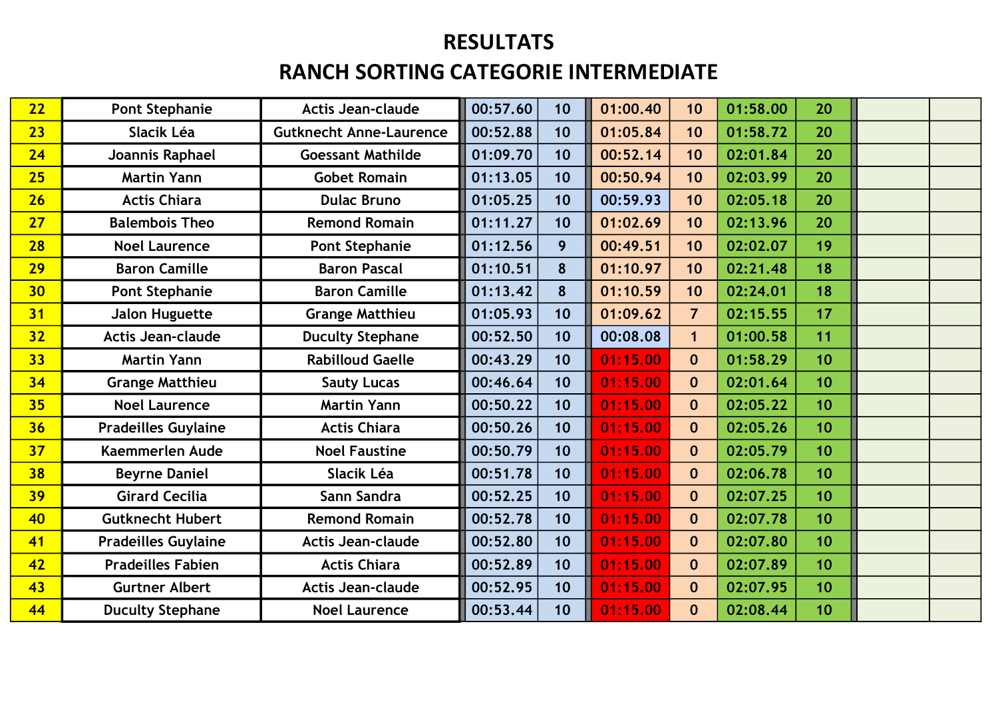| 22              | <b>Pont Stephanie</b>      | <b>Actis Jean-claude</b>       | 00:57.60<br>10 | 01:00.40 | 10               | 01:58.00 | 20 |  |
|-----------------|----------------------------|--------------------------------|----------------|----------|------------------|----------|----|--|
| 23              | Slacik Léa                 | <b>Gutknecht Anne-Laurence</b> | 00:52.88<br>10 | 01:05.84 | 10               | 01:58.72 | 20 |  |
| 24              | Joannis Raphael            | <b>Goessant Mathilde</b>       | 01:09.70<br>10 | 00:52.14 | 10               | 02:01.84 | 20 |  |
| 25              | <b>Martin Yann</b>         | <b>Gobet Romain</b>            | 01:13.05<br>10 | 00:50.94 | 10               | 02:03.99 | 20 |  |
| 26              | <b>Actis Chiara</b>        | <b>Dulac Bruno</b>             | 01:05.25<br>10 | 00:59.93 | 10               | 02:05.18 | 20 |  |
| 27              | <b>Balembois Theo</b>      | <b>Remond Romain</b>           | 01:11.27<br>10 | 01:02.69 | 10               | 02:13.96 | 20 |  |
| 28              | <b>Noel Laurence</b>       | <b>Pont Stephanie</b>          | 01:12.56<br>9  | 00:49.51 | 10               | 02:02.07 | 19 |  |
| 29              | <b>Baron Camille</b>       | <b>Baron Pascal</b>            | 01:10.51<br>8  | 01:10.97 | 10               | 02:21.48 | 18 |  |
| 30 <sub>2</sub> | <b>Pont Stephanie</b>      | <b>Baron Camille</b>           | 01:13.42<br>8  | 01:10.59 | 10               | 02:24.01 | 18 |  |
| 31              | <b>Jalon Huguette</b>      | <b>Grange Matthieu</b>         | 01:05.93<br>10 | 01:09.62 | $\overline{7}$   | 02:15.55 | 17 |  |
| 32 <sub>2</sub> | <b>Actis Jean-claude</b>   | <b>Duculty Stephane</b>        | 00:52.50<br>10 | 00:08.08 | $\mathbf{1}$     | 01:00.58 | 11 |  |
| 33              | <b>Martin Yann</b>         | <b>Rabilloud Gaelle</b>        | 00:43.29<br>10 | 01:15.00 | $\mathbf 0$      | 01:58.29 | 10 |  |
| 34              | <b>Grange Matthieu</b>     | <b>Sauty Lucas</b>             | 00:46.64<br>10 | 01:15.00 | $\mathbf{0}$     | 02:01.64 | 10 |  |
| 35              | <b>Noel Laurence</b>       | <b>Martin Yann</b>             | 00:50.22<br>10 | 01:15.00 | $\mathbf{0}$     | 02:05.22 | 10 |  |
| 36              | <b>Pradeilles Guylaine</b> | <b>Actis Chiara</b>            | 00:50.26<br>10 | 01:15.00 | $\mathbf 0$      | 02:05.26 | 10 |  |
| 37              | <b>Kaemmerlen Aude</b>     | <b>Noel Faustine</b>           | 00:50.79<br>10 | 01:15.00 | $\mathbf{0}$     | 02:05.79 | 10 |  |
| 38              | <b>Beyrne Daniel</b>       | Slacik Léa                     | 00:51.78<br>10 | 01:15.00 | $\mathbf 0$      | 02:06.78 | 10 |  |
| 39              | <b>Girard Cecilia</b>      | Sann Sandra                    | 00:52.25<br>10 | 01:15.00 | $\mathbf{0}$     | 02:07.25 | 10 |  |
| 40              | <b>Gutknecht Hubert</b>    | <b>Remond Romain</b>           | 00:52.78<br>10 | 01:15.00 | $\boldsymbol{0}$ | 02:07.78 | 10 |  |
| 41              | <b>Pradeilles Guylaine</b> | <b>Actis Jean-claude</b>       | 00:52.80<br>10 | 01:15.00 | $\mathbf 0$      | 02:07.80 | 10 |  |
| 42              | <b>Pradeilles Fabien</b>   | <b>Actis Chiara</b>            | 00:52.89<br>10 | 01:15.00 | $\mathbf 0$      | 02:07.89 | 10 |  |
| 43              | <b>Gurtner Albert</b>      | <b>Actis Jean-claude</b>       | 00:52.95<br>10 | 01:15.00 | $\mathbf 0$      | 02:07.95 | 10 |  |
| 44              | <b>Duculty Stephane</b>    | <b>Noel Laurence</b>           | 00:53.44<br>10 | 01:15.00 | $\boldsymbol{0}$ | 02:08.44 | 10 |  |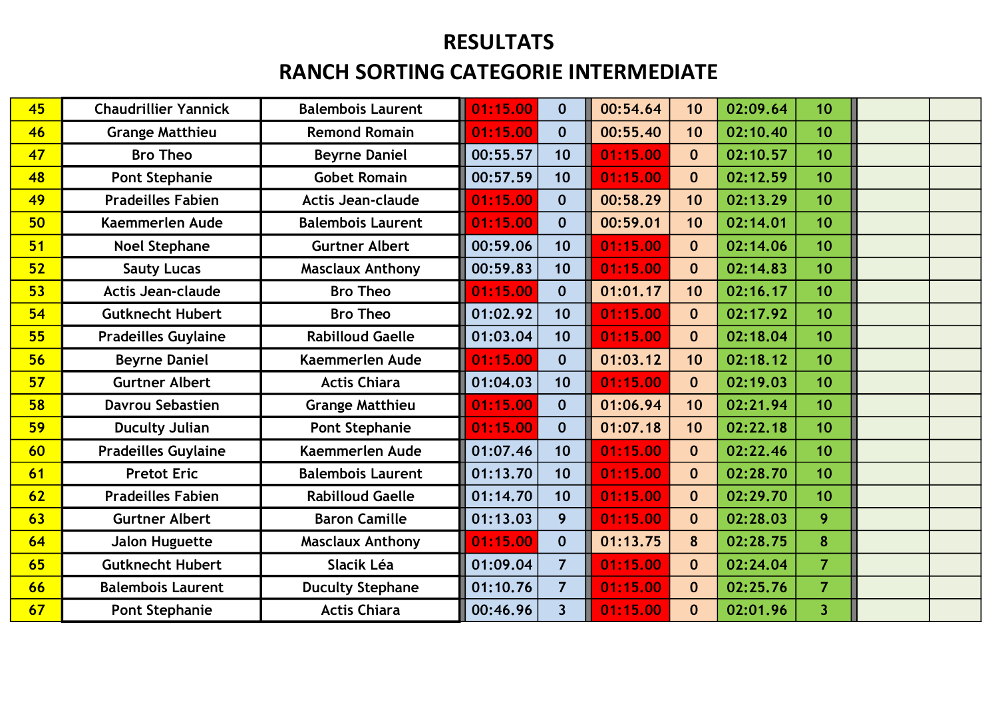| 45 | <b>Chaudrillier Yannick</b> | <b>Balembois Laurent</b> | 01:15.00 | $\mathbf{0}$            | 00:54.64 | 10               | 02:09.64 | 10                      |  |
|----|-----------------------------|--------------------------|----------|-------------------------|----------|------------------|----------|-------------------------|--|
| 46 | <b>Grange Matthieu</b>      | <b>Remond Romain</b>     | 01:15.00 | $\mathbf{0}$            | 00:55.40 | 10               | 02:10.40 | 10                      |  |
| 47 | <b>Bro Theo</b>             | <b>Beyrne Daniel</b>     | 00:55.57 | 10                      | 01:15.00 | $\mathbf{0}$     | 02:10.57 | 10                      |  |
| 48 | <b>Pont Stephanie</b>       | <b>Gobet Romain</b>      | 00:57.59 | 10                      | 01:15.00 | $\mathbf{0}$     | 02:12.59 | 10                      |  |
| 49 | <b>Pradeilles Fabien</b>    | <b>Actis Jean-claude</b> | 01:15.00 | $\mathbf{0}$            | 00:58.29 | 10               | 02:13.29 | 10                      |  |
| 50 | <b>Kaemmerlen Aude</b>      | <b>Balembois Laurent</b> | 01:15.00 | $\mathbf{0}$            | 00:59.01 | 10               | 02:14.01 | 10                      |  |
| 51 | <b>Noel Stephane</b>        | <b>Gurtner Albert</b>    | 00:59.06 | 10                      | 01:15.00 | $\mathbf 0$      | 02:14.06 | 10                      |  |
| 52 | <b>Sauty Lucas</b>          | <b>Masclaux Anthony</b>  | 00:59.83 | 10                      | 01:15.00 | $\mathbf{0}$     | 02:14.83 | 10 <sup>°</sup>         |  |
| 53 | <b>Actis Jean-claude</b>    | <b>Bro Theo</b>          | 01:15.00 | $\mathbf{0}$            | 01:01.17 | 10               | 02:16.17 | 10                      |  |
| 54 | <b>Gutknecht Hubert</b>     | <b>Bro Theo</b>          | 01:02.92 | 10                      | 01:15.00 | $\mathbf 0$      | 02:17.92 | 10                      |  |
| 55 | <b>Pradeilles Guylaine</b>  | <b>Rabilloud Gaelle</b>  | 01:03.04 | 10                      | 01:15.00 | $\mathbf 0$      | 02:18.04 | 10                      |  |
| 56 | <b>Beyrne Daniel</b>        | <b>Kaemmerlen Aude</b>   | 01:15.00 | $\mathbf{0}$            | 01:03.12 | 10               | 02:18.12 | 10                      |  |
| 57 | <b>Gurtner Albert</b>       | <b>Actis Chiara</b>      | 01:04.03 | 10                      | 01:15.00 | $\mathbf 0$      | 02:19.03 | 10                      |  |
| 58 | <b>Davrou Sebastien</b>     | <b>Grange Matthieu</b>   | 01:15.00 | $\mathbf{0}$            | 01:06.94 | 10               | 02:21.94 | 10                      |  |
| 59 | <b>Duculty Julian</b>       | <b>Pont Stephanie</b>    | 01:15.00 | $\mathbf{0}$            | 01:07.18 | 10               | 02:22.18 | 10                      |  |
| 60 | <b>Pradeilles Guylaine</b>  | <b>Kaemmerlen Aude</b>   | 01:07.46 | 10                      | 01:15.00 | $\mathbf{0}$     | 02:22.46 | 10                      |  |
| 61 | <b>Pretot Eric</b>          | <b>Balembois Laurent</b> | 01:13.70 | 10                      | 01:15.00 | $\mathbf{0}$     | 02:28.70 | 10                      |  |
| 62 | <b>Pradeilles Fabien</b>    | <b>Rabilloud Gaelle</b>  | 01:14.70 | 10                      | 01:15.00 | $\mathbf{0}$     | 02:29.70 | 10                      |  |
| 63 | <b>Gurtner Albert</b>       | <b>Baron Camille</b>     | 01:13.03 | 9 <sup>°</sup>          | 01:15.00 | $\mathbf 0$      | 02:28.03 | 9                       |  |
| 64 | <b>Jalon Huguette</b>       | <b>Masclaux Anthony</b>  | 01:15.00 | $\mathbf{0}$            | 01:13.75 | 8                | 02:28.75 | 8                       |  |
| 65 | <b>Gutknecht Hubert</b>     | Slacik Léa               | 01:09.04 | $\overline{7}$          | 01:15.00 | $\mathbf{0}$     | 02:24.04 | $\overline{7}$          |  |
| 66 | <b>Balembois Laurent</b>    | <b>Duculty Stephane</b>  | 01:10.76 | $\overline{7}$          | 01:15.00 | $\mathbf{0}$     | 02:25.76 | $\overline{7}$          |  |
| 67 | <b>Pont Stephanie</b>       | <b>Actis Chiara</b>      | 00:46.96 | $\overline{\mathbf{3}}$ | 01:15.00 | $\boldsymbol{0}$ | 02:01.96 | $\overline{\mathbf{3}}$ |  |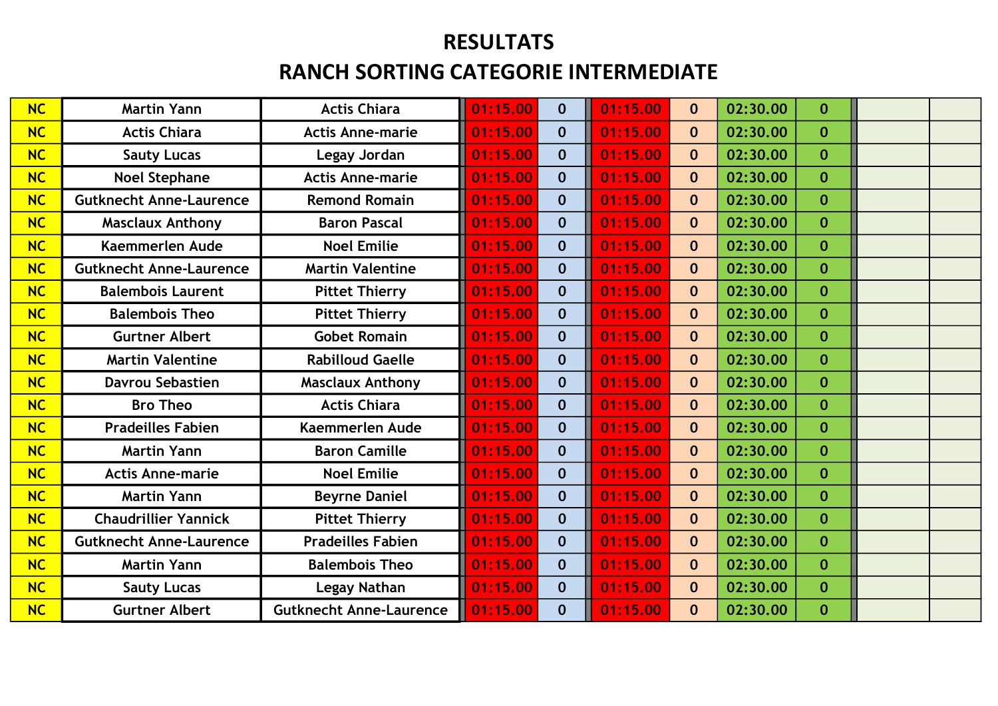| <b>NC</b> | <b>Martin Yann</b>             | <b>Actis Chiara</b>            | 01:15.00 | $\mathbf{0}$ | 01:15.00 | $\mathbf{0}$ | 02:30.00 | $\bf{0}$     |  |
|-----------|--------------------------------|--------------------------------|----------|--------------|----------|--------------|----------|--------------|--|
| NC        | <b>Actis Chiara</b>            | <b>Actis Anne-marie</b>        | 01:15.00 | $\mathbf{0}$ | 01:15.00 | $\mathbf{0}$ | 02:30.00 | $\mathbf{0}$ |  |
| NC        | <b>Sauty Lucas</b>             | Legay Jordan                   | 01:15.00 | $\mathbf{0}$ | 01:15.00 | $\mathbf{0}$ | 02:30.00 | $\mathbf{0}$ |  |
| NC        | <b>Noel Stephane</b>           | <b>Actis Anne-marie</b>        | 01:15.00 | $\mathbf{0}$ | 01:15.00 | $\mathbf 0$  | 02:30.00 | $\mathbf{0}$ |  |
| NC        | <b>Gutknecht Anne-Laurence</b> | <b>Remond Romain</b>           | 01:15.00 | $\mathbf{0}$ | 01:15.00 | $\mathbf{0}$ | 02:30.00 | $\mathbf{0}$ |  |
| NC        | <b>Masclaux Anthony</b>        | <b>Baron Pascal</b>            | 01:15.00 | $\mathbf{0}$ | 01:15.00 | $\mathbf{0}$ | 02:30.00 | $\mathbf{0}$ |  |
| <b>NC</b> | <b>Kaemmerlen Aude</b>         | <b>Noel Emilie</b>             | 01:15.00 | $\mathbf{0}$ | 01:15.00 | $\mathbf{0}$ | 02:30.00 | $\mathbf{0}$ |  |
| NC        | <b>Gutknecht Anne-Laurence</b> | <b>Martin Valentine</b>        | 01:15.00 | $\mathbf{0}$ | 01:15.00 | $\mathbf{0}$ | 02:30.00 | $\mathbf{0}$ |  |
| NC        | <b>Balembois Laurent</b>       | <b>Pittet Thierry</b>          | 01:15.00 | $\mathbf{0}$ | 01:15.00 | $\mathbf{0}$ | 02:30.00 | $\mathbf{0}$ |  |
| NC        | <b>Balembois Theo</b>          | <b>Pittet Thierry</b>          | 01:15.00 | $\mathbf{0}$ | 01:15.00 | $\mathbf{0}$ | 02:30.00 | $\bf{0}$     |  |
| NC        | <b>Gurtner Albert</b>          | <b>Gobet Romain</b>            | 01:15.00 | $\mathbf{0}$ | 01:15.00 | $\mathbf{0}$ | 02:30.00 | $\mathbf{0}$ |  |
| NC        | <b>Martin Valentine</b>        | <b>Rabilloud Gaelle</b>        | 01:15.00 | $\mathbf{0}$ | 01:15.00 | $\mathbf{0}$ | 02:30.00 | $\mathbf{0}$ |  |
| NC        | <b>Davrou Sebastien</b>        | <b>Masclaux Anthony</b>        | 01:15.00 | $\mathbf{0}$ | 01:15.00 | $\mathbf{0}$ | 02:30.00 | $\mathbf{0}$ |  |
| NC        | <b>Bro Theo</b>                | <b>Actis Chiara</b>            | 01:15.00 | $\mathbf{0}$ | 01:15.00 | $\mathbf{0}$ | 02:30.00 | $\mathbf{0}$ |  |
| NC        | <b>Pradeilles Fabien</b>       | <b>Kaemmerlen Aude</b>         | 01:15.00 | $\mathbf{0}$ | 01:15.00 | $\mathbf{0}$ | 02:30.00 | $\bf{0}$     |  |
| NC        | <b>Martin Yann</b>             | <b>Baron Camille</b>           | 01:15.00 | $\mathbf{0}$ | 01:15.00 | $\mathbf 0$  | 02:30.00 | $\mathbf{0}$ |  |
| NC        | <b>Actis Anne-marie</b>        | <b>Noel Emilie</b>             | 01:15.00 | $\mathbf{0}$ | 01:15.00 | $\mathbf{0}$ | 02:30.00 | $\mathbf{0}$ |  |
| NC        | <b>Martin Yann</b>             | <b>Beyrne Daniel</b>           | 01:15.00 | $\mathbf{0}$ | 01:15.00 | $\mathbf{0}$ | 02:30.00 | $\bf{0}$     |  |
| NC        | <b>Chaudrillier Yannick</b>    | <b>Pittet Thierry</b>          | 01:15.00 | $\mathbf{0}$ | 01:15.00 | $\mathbf{0}$ | 02:30.00 | $\mathbf{0}$ |  |
| NC        | <b>Gutknecht Anne-Laurence</b> | <b>Pradeilles Fabien</b>       | 01:15.00 | $\mathbf{0}$ | 01:15.00 | $\mathbf{0}$ | 02:30.00 | $\bf{0}$     |  |
| NC        | <b>Martin Yann</b>             | <b>Balembois Theo</b>          | 01:15.00 | $\mathbf{0}$ | 01:15.00 | $\mathbf{0}$ | 02:30.00 | $\mathbf{0}$ |  |
| NC        | <b>Sauty Lucas</b>             | Legay Nathan                   | 01:15.00 | $\mathbf{0}$ | 01:15.00 | $\mathbf 0$  | 02:30.00 | $\mathbf{0}$ |  |
| NC        | <b>Gurtner Albert</b>          | <b>Gutknecht Anne-Laurence</b> | 01:15.00 | $\mathbf{0}$ | 01:15.00 | $\mathbf{0}$ | 02:30.00 | $\bf{0}$     |  |